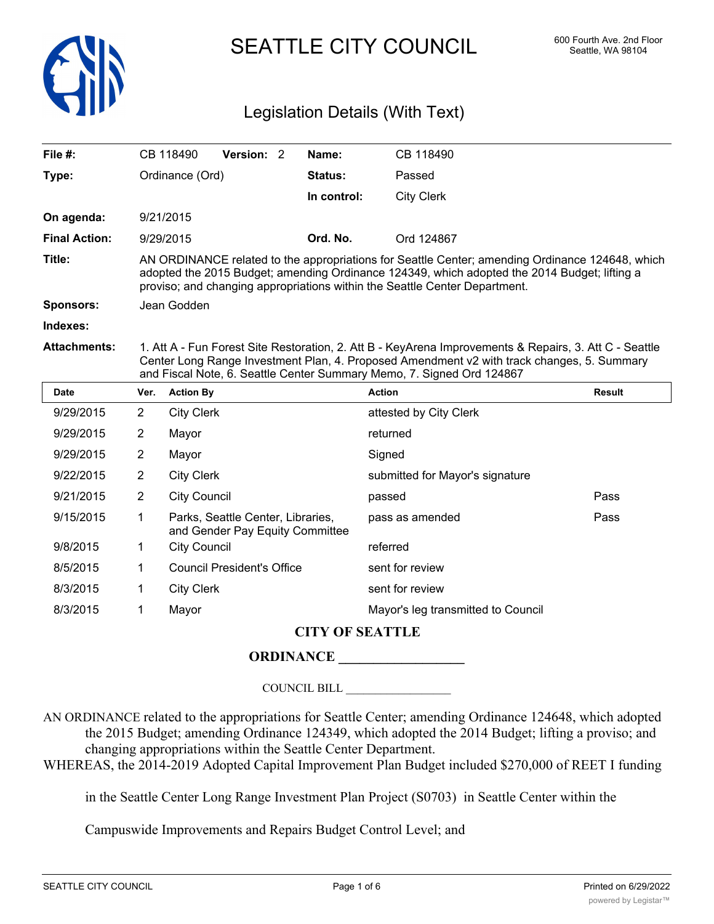

SEATTLE CITY COUNCIL 600 Fourth Ave. 2nd Floor

# Legislation Details (With Text)

| File $#$ :           |                                                                                                                                                                                                                                                                               | CB 118490           | Version: 2                                                           |  | Name:          | CB 118490                       |               |  |
|----------------------|-------------------------------------------------------------------------------------------------------------------------------------------------------------------------------------------------------------------------------------------------------------------------------|---------------------|----------------------------------------------------------------------|--|----------------|---------------------------------|---------------|--|
| Type:                |                                                                                                                                                                                                                                                                               | Ordinance (Ord)     |                                                                      |  | <b>Status:</b> | Passed                          |               |  |
|                      |                                                                                                                                                                                                                                                                               |                     |                                                                      |  | In control:    | <b>City Clerk</b>               |               |  |
| On agenda:           |                                                                                                                                                                                                                                                                               | 9/21/2015           |                                                                      |  |                |                                 |               |  |
| <b>Final Action:</b> |                                                                                                                                                                                                                                                                               | 9/29/2015           |                                                                      |  | Ord. No.       | Ord 124867                      |               |  |
| Title:               | AN ORDINANCE related to the appropriations for Seattle Center; amending Ordinance 124648, which<br>adopted the 2015 Budget; amending Ordinance 124349, which adopted the 2014 Budget; lifting a<br>proviso; and changing appropriations within the Seattle Center Department. |                     |                                                                      |  |                |                                 |               |  |
| <b>Sponsors:</b>     |                                                                                                                                                                                                                                                                               | Jean Godden         |                                                                      |  |                |                                 |               |  |
| Indexes:             |                                                                                                                                                                                                                                                                               |                     |                                                                      |  |                |                                 |               |  |
| <b>Attachments:</b>  | 1. Att A - Fun Forest Site Restoration, 2. Att B - KeyArena Improvements & Repairs, 3. Att C - Seattle<br>Center Long Range Investment Plan, 4. Proposed Amendment v2 with track changes, 5. Summary<br>and Fiscal Note, 6. Seattle Center Summary Memo, 7. Signed Ord 124867 |                     |                                                                      |  |                |                                 |               |  |
| <b>Date</b>          | Ver.                                                                                                                                                                                                                                                                          | <b>Action By</b>    |                                                                      |  |                | <b>Action</b>                   | <b>Result</b> |  |
| 9/29/2015            | $\overline{2}$                                                                                                                                                                                                                                                                | <b>City Clerk</b>   |                                                                      |  |                | attested by City Clerk          |               |  |
| 9/29/2015            | $\overline{2}$                                                                                                                                                                                                                                                                | Mayor               |                                                                      |  |                | returned                        |               |  |
| 9/29/2015            | $\overline{2}$                                                                                                                                                                                                                                                                | Mayor               |                                                                      |  |                | Signed                          |               |  |
| 9/22/2015            | $\overline{2}$                                                                                                                                                                                                                                                                | <b>City Clerk</b>   |                                                                      |  |                | submitted for Mayor's signature |               |  |
| 9/21/2015            | $\overline{2}$                                                                                                                                                                                                                                                                | <b>City Council</b> |                                                                      |  |                | passed                          | Pass          |  |
| 9/15/2015            | 1                                                                                                                                                                                                                                                                             |                     | Parks, Seattle Center, Libraries,<br>and Gender Pay Equity Committee |  |                | pass as amended                 | Pass          |  |
| 9/8/2015             | 1                                                                                                                                                                                                                                                                             | <b>City Council</b> |                                                                      |  |                | referred                        |               |  |
| 8/5/2015             | 1                                                                                                                                                                                                                                                                             |                     | <b>Council President's Office</b>                                    |  |                | sent for review                 |               |  |
| 8/3/2015             | 1                                                                                                                                                                                                                                                                             | <b>City Clerk</b>   |                                                                      |  |                | sent for review                 |               |  |

## **CITY OF SEATTLE**

## **ORDINANCE \_\_\_\_\_\_\_\_\_\_\_\_\_\_\_\_\_\_**

8/3/2015 1 Mayor Mayor Mayor Mayor's leg transmitted to Council

COUNCIL BILL \_\_\_\_\_\_\_\_\_\_\_\_\_\_\_\_\_\_

AN ORDINANCE related to the appropriations for Seattle Center; amending Ordinance 124648, which adopted the 2015 Budget; amending Ordinance 124349, which adopted the 2014 Budget; lifting a proviso; and changing appropriations within the Seattle Center Department.

WHEREAS, the 2014-2019 Adopted Capital Improvement Plan Budget included \$270,000 of REET I funding

in the Seattle Center Long Range Investment Plan Project (S0703) in Seattle Center within the

Campuswide Improvements and Repairs Budget Control Level; and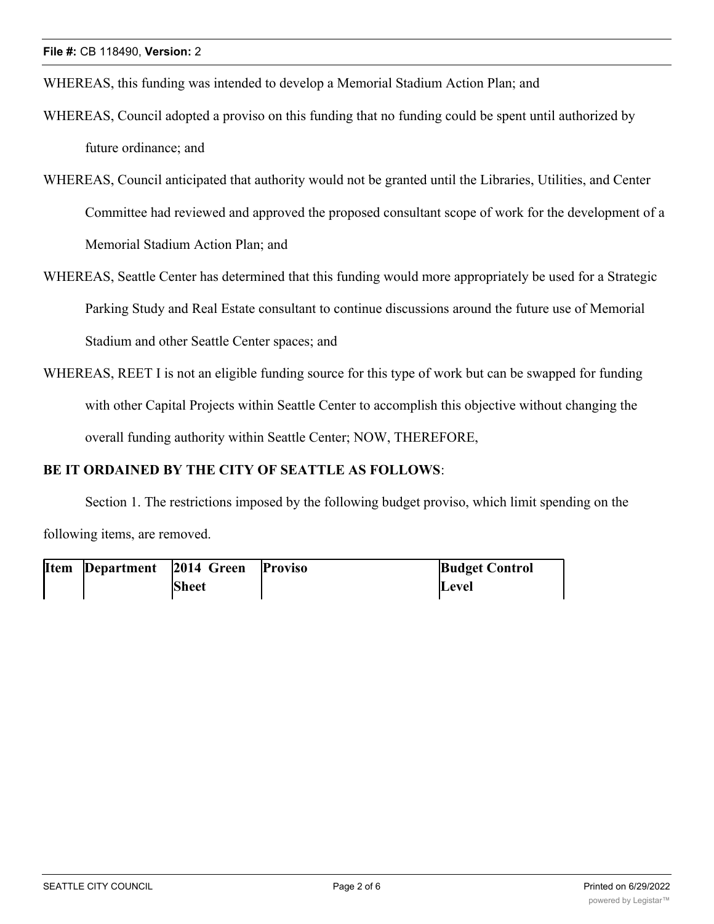WHEREAS, this funding was intended to develop a Memorial Stadium Action Plan; and

- WHEREAS, Council adopted a proviso on this funding that no funding could be spent until authorized by future ordinance; and
- WHEREAS, Council anticipated that authority would not be granted until the Libraries, Utilities, and Center Committee had reviewed and approved the proposed consultant scope of work for the development of a Memorial Stadium Action Plan; and
- WHEREAS, Seattle Center has determined that this funding would more appropriately be used for a Strategic Parking Study and Real Estate consultant to continue discussions around the future use of Memorial Stadium and other Seattle Center spaces; and
- WHEREAS, REET I is not an eligible funding source for this type of work but can be swapped for funding with other Capital Projects within Seattle Center to accomplish this objective without changing the overall funding authority within Seattle Center; NOW, THEREFORE,

#### **BE IT ORDAINED BY THE CITY OF SEATTLE AS FOLLOWS**:

Section 1. The restrictions imposed by the following budget proviso, which limit spending on the following items, are removed.

| <b>Item</b> Department | 2014 Green Proviso | <b>Budget Control</b> |
|------------------------|--------------------|-----------------------|
|                        | <b>Sheet</b>       | <b>Level</b>          |

anticipates that such authority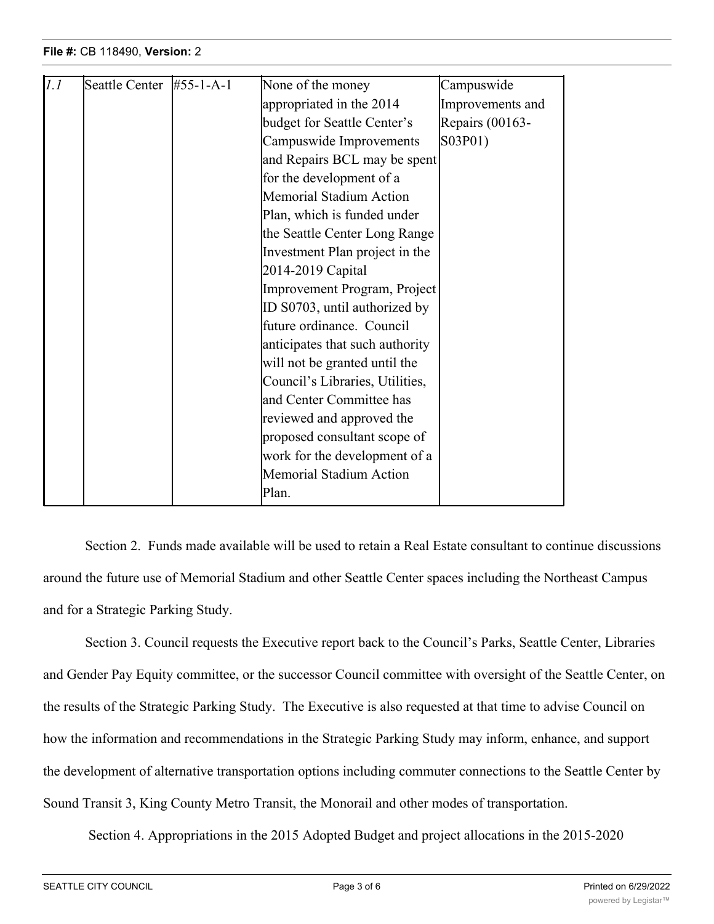| 1.1 | Seattle Center $\#55-1-A-1$ | None of the money               | Campuswide       |
|-----|-----------------------------|---------------------------------|------------------|
|     |                             | appropriated in the 2014        | Improvements and |
|     |                             | budget for Seattle Center's     | Repairs (00163-  |
|     |                             | Campuswide Improvements         | S03P01)          |
|     |                             | and Repairs BCL may be spent    |                  |
|     |                             | for the development of a        |                  |
|     |                             | <b>Memorial Stadium Action</b>  |                  |
|     |                             | Plan, which is funded under     |                  |
|     |                             | the Seattle Center Long Range   |                  |
|     |                             | Investment Plan project in the  |                  |
|     |                             | 2014-2019 Capital               |                  |
|     |                             | Improvement Program, Project    |                  |
|     |                             | ID S0703, until authorized by   |                  |
|     |                             | future ordinance. Council       |                  |
|     |                             | anticipates that such authority |                  |
|     |                             | will not be granted until the   |                  |
|     |                             | Council's Libraries, Utilities, |                  |
|     |                             | and Center Committee has        |                  |
|     |                             | reviewed and approved the       |                  |
|     |                             | proposed consultant scope of    |                  |
|     |                             | work for the development of a   |                  |
|     |                             | <b>Memorial Stadium Action</b>  |                  |
|     |                             | Plan.                           |                  |
|     |                             |                                 |                  |

**Proviso Budget Control**

**Level**

Section 2. Funds made available will be used to retain a Real Estate consultant to continue discussions around the future use of Memorial Stadium and other Seattle Center spaces including the Northeast Campus and for a Strategic Parking Study.

Section 3. Council requests the Executive report back to the Council's Parks, Seattle Center, Libraries and Gender Pay Equity committee, or the successor Council committee with oversight of the Seattle Center, on the results of the Strategic Parking Study. The Executive is also requested at that time to advise Council on how the information and recommendations in the Strategic Parking Study may inform, enhance, and support the development of alternative transportation options including commuter connections to the Seattle Center by Sound Transit 3, King County Metro Transit, the Monorail and other modes of transportation.

Section 4. Appropriations in the 2015 Adopted Budget and project allocations in the 2015-2020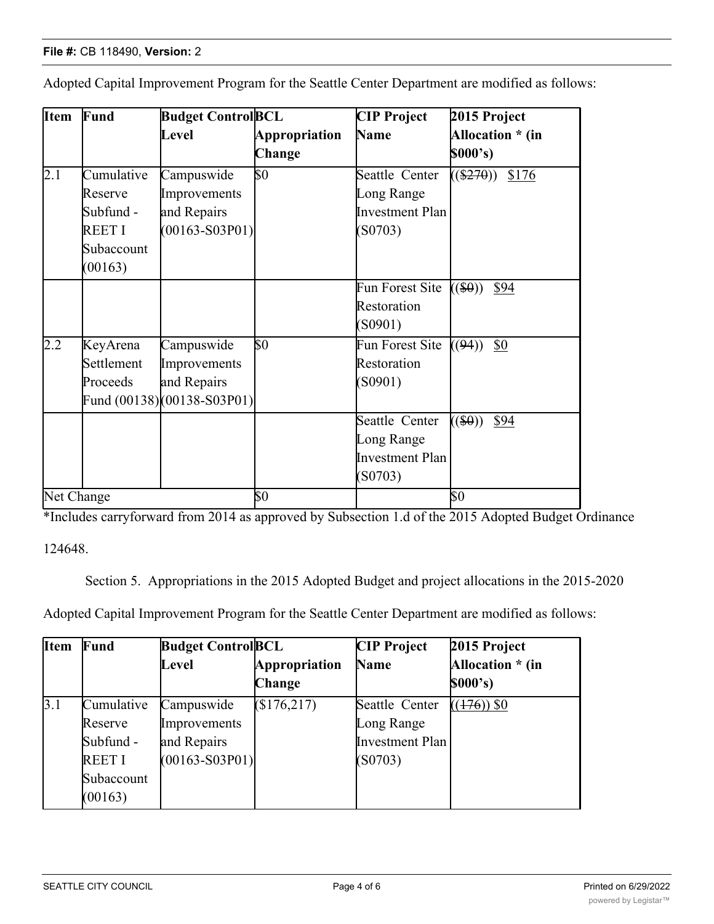| <b>Item</b>      | Fund       | <b>Budget ControlBCL</b>   |                      | <b>CIP Project</b> | 2015 Project         |
|------------------|------------|----------------------------|----------------------|--------------------|----------------------|
|                  |            | Level                      | <b>Appropriation</b> | Name               | Allocation * (in     |
|                  |            |                            | Change               |                    | \$000's)             |
| $\overline{2.1}$ | Cumulative | Campuswide                 | \$0                  | Seattle Center     | $((\$270))$<br>\$176 |
|                  | Reserve    | Improvements               |                      | Long Range         |                      |
|                  | Subfund -  | and Repairs                |                      | Investment Plan    |                      |
|                  | REET I     | $(00163 - S03P01)$         |                      | (S0703)            |                      |
|                  | Subaccount |                            |                      |                    |                      |
|                  | (00163)    |                            |                      |                    |                      |
|                  |            |                            |                      | Fun Forest Site    | $((\$0))$<br>\$94    |
|                  |            |                            |                      | Restoration        |                      |
|                  |            |                            |                      | (S0901)            |                      |
| $\overline{2.2}$ | KeyArena   | Campuswide                 | \$0                  | Fun Forest Site    | \$0<br>((94))        |
|                  | Settlement | Improvements               |                      | Restoration        |                      |
|                  | Proceeds   | and Repairs                |                      | (S0901)            |                      |
|                  |            | Fund (00138)(00138-S03P01) |                      |                    |                      |
|                  |            |                            |                      | Seattle Center     | $((\$0))$<br>\$94    |
|                  |            |                            |                      | Long Range         |                      |
|                  |            |                            |                      | Investment Plan    |                      |
|                  |            |                            |                      | (S0703)            |                      |
| Net Change       |            |                            | $\$0$                |                    | $\$0$                |

Adopted Capital Improvement Program for the Seattle Center Department are modified as follows:

\*Includes carryforward from 2014 as approved by Subsection 1.d of the 2015 Adopted Budget Ordinance

124648.

Section 5. Appropriations in the 2015 Adopted Budget and project allocations in the 2015-2020

Adopted Capital Improvement Program for the Seattle Center Department are modified as follows:

| <b>Item</b> | Fund         | <b>Budget Control BCL</b> |               | <b>CIP</b> Project | 2015 Project     |
|-------------|--------------|---------------------------|---------------|--------------------|------------------|
|             |              | Level                     | Appropriation | Name               | Allocation * (in |
|             |              |                           | Change        |                    | \$000's)         |
| 3.1         | Cumulative   | Campuswide                | (\$176,217)   | Seattle Center     | $((176))$ \$0    |
|             | Reserve      | Improvements              |               | Long Range         |                  |
|             | Subfund -    | and Repairs               |               | Investment Plan    |                  |
|             | <b>REETI</b> | $(00163 - S03P01)$        |               | (S0703)            |                  |
|             | Subaccount   |                           |               |                    |                  |
|             | (00163)      |                           |               |                    |                  |

 $\overline{\phantom{0}}$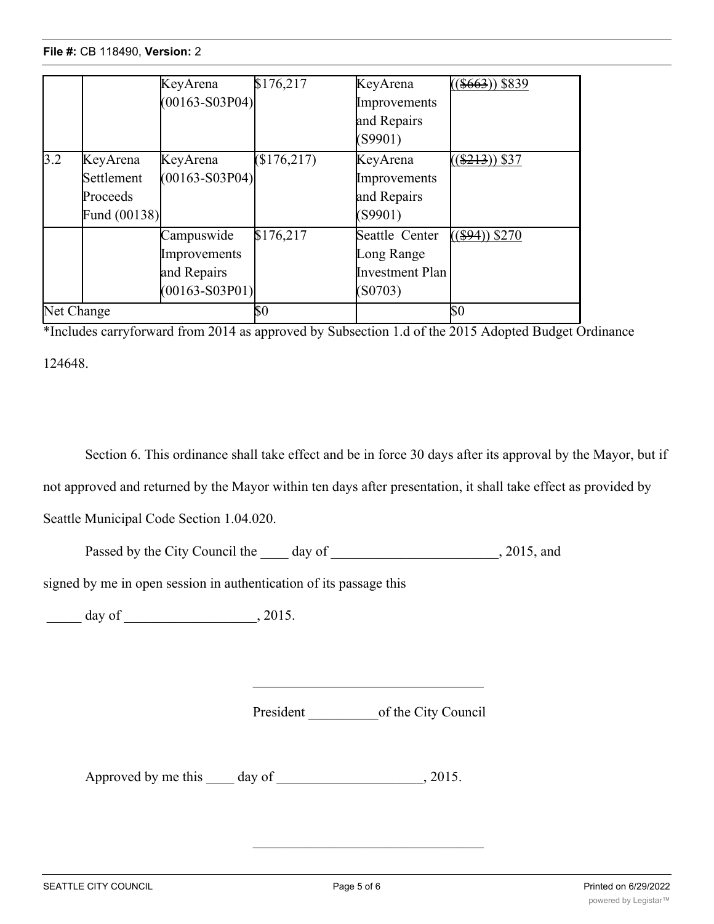## **File #: CB 118490, Version: 2**  $\overline{\phantom{0}}$

|                  |                                                      | KeyArena<br>$(00163 - S03P04)$                                  | \$176,217 | KeyArena<br>Improvements<br>and Repairs<br>(S9901)         | $(\$663)$ \\$839 |
|------------------|------------------------------------------------------|-----------------------------------------------------------------|-----------|------------------------------------------------------------|------------------|
| $\overline{3.2}$ | KeyArena<br>Settlement<br>Proceeds<br>Fund $(00138)$ | KeyArena<br>$(00163 - S03P04)$                                  | \$176,217 | KeyArena<br>Improvements<br>and Repairs<br>(S9901)         | $(\$213)$ \$37   |
|                  |                                                      | Campuswide<br>Improvements<br>and Repairs<br>$(00163 - S03P01)$ | \$176,217 | Seattle Center<br>Long Range<br>Investment Plan<br>(S0703) | $($ \$94)) \$270 |
| Net Change       |                                                      |                                                                 | \$0       |                                                            | \$0              |

\*Includes carryforward from 2014 as approved by Subsection 1.d of the 2015 Adopted Budget Ordinance 124648.

Section 6. This ordinance shall take effect and be in force 30 days after its approval by the Mayor, but if not approved and returned by the Mayor within ten days after presentation, it shall take effect as provided by Seattle Municipal Code Section 1.04.020.

Passed by the City Council the day of 3015, and

signed by me in open session in authentication of its passage this

 $\frac{1}{2015}$  day of  $\frac{1}{2015}$ 

President of the City Council

Approved by me this \_\_\_\_ day of \_\_\_\_\_\_\_\_\_\_\_\_\_\_\_\_\_\_, 2015.